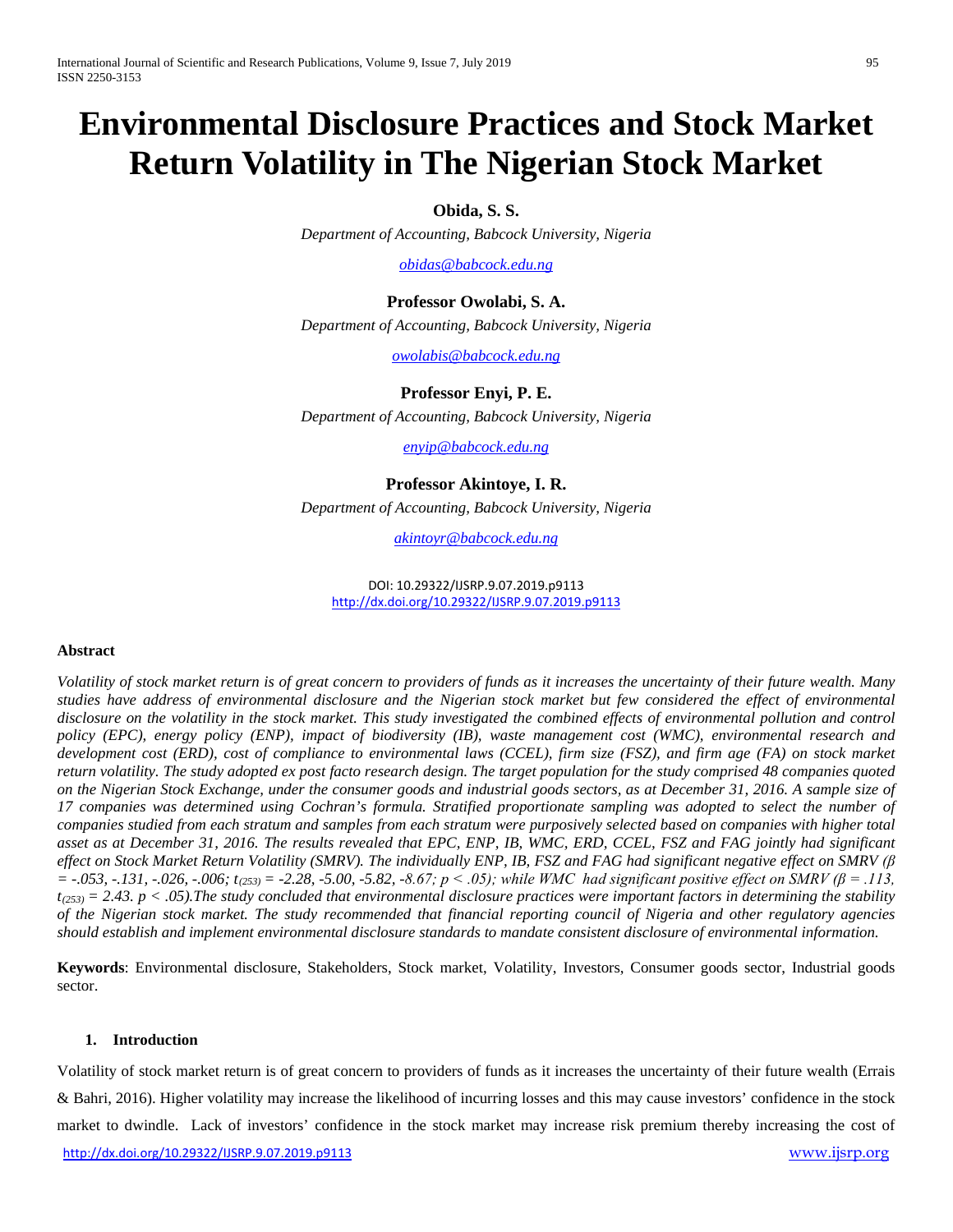# **Environmental Disclosure Practices and Stock Market Return Volatility in The Nigerian Stock Market**

**Obida, S. S.**

*Department of Accounting, Babcock University, Nigeria*

*obidas@babcock.edu.ng*

**Professor Owolabi, S. A.** *Department of Accounting, Babcock University, Nigeria*

*[owolabis@babcock.edu.ng](mailto:owolabis@babcock.edu.ng)*

**Professor Enyi, P. E.**

*Department of Accounting, Babcock University, Nigeria*

*enyip@babcock.edu.ng*

### **Professor Akintoye, I. R.**

*Department of Accounting, Babcock University, Nigeria*

*akintoyr@babcock.edu.ng*

DOI: 10.29322/IJSRP.9.07.2019.p9113 <http://dx.doi.org/10.29322/IJSRP.9.07.2019.p9113>

#### **Abstract**

*Volatility of stock market return is of great concern to providers of funds as it increases the uncertainty of their future wealth. Many studies have address of environmental disclosure and the Nigerian stock market but few considered the effect of environmental disclosure on the volatility in the stock market. This study investigated the combined effects of environmental pollution and control policy (EPC), energy policy (ENP), impact of biodiversity (IB), waste management cost (WMC), environmental research and development cost (ERD), cost of compliance to environmental laws (CCEL), firm size (FSZ), and firm age (FA) on stock market return volatility. The study adopted ex post facto research design. The target population for the study comprised 48 companies quoted on the Nigerian Stock Exchange, under the consumer goods and industrial goods sectors, as at December 31, 2016. A sample size of 17 companies was determined using Cochran's formula. Stratified proportionate sampling was adopted to select the number of companies studied from each stratum and samples from each stratum were purposively selected based on companies with higher total asset as at December 31, 2016. The results revealed that EPC, ENP, IB, WMC, ERD, CCEL, FSZ and FAG jointly had significant effect on Stock Market Return Volatility (SMRV). The individually ENP, IB, FSZ and FAG had significant negative effect on SMRV (β = -.053, -.131, -.026, -.006; t(253) = -2.28, -5.00, -5.82, -8.67; p < .05); while WMC had significant positive effect on SMRV (β = .113,*   $t_{(253)} = 2.43$ .  $p < .05$ ). The study concluded that environmental disclosure practices were important factors in determining the stability *of the Nigerian stock market. The study recommended that financial reporting council of Nigeria and other regulatory agencies should establish and implement environmental disclosure standards to mandate consistent disclosure of environmental information.* 

**Keywords**: Environmental disclosure, Stakeholders, Stock market, Volatility, Investors, Consumer goods sector, Industrial goods sector.

#### **1. Introduction**

<http://dx.doi.org/10.29322/IJSRP.9.07.2019.p9113> [www.ijsrp.org](http://ijsrp.org/) Volatility of stock market return is of great concern to providers of funds as it increases the uncertainty of their future wealth (Errais & Bahri, 2016). Higher volatility may increase the likelihood of incurring losses and this may cause investors' confidence in the stock market to dwindle. Lack of investors' confidence in the stock market may increase risk premium thereby increasing the cost of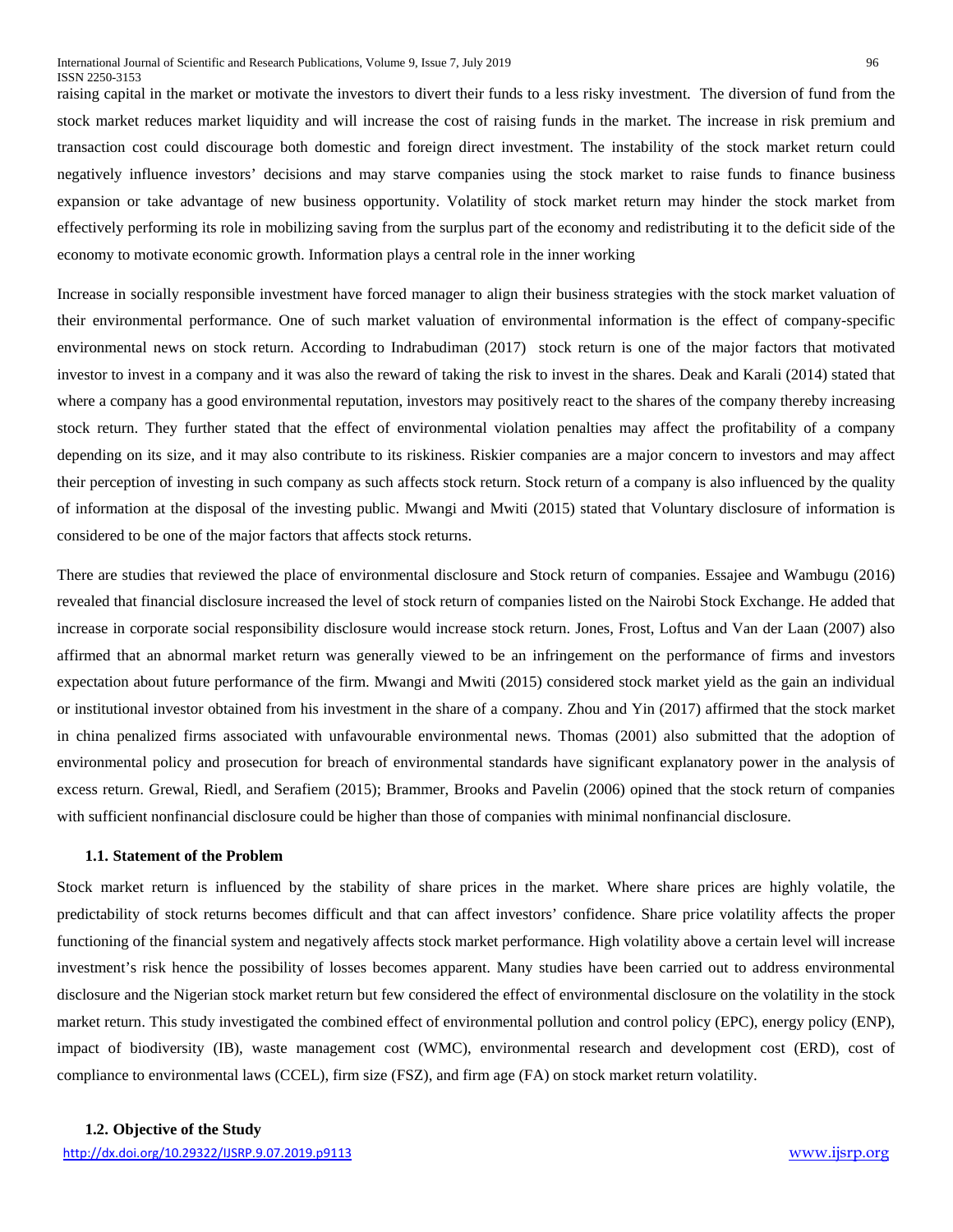raising capital in the market or motivate the investors to divert their funds to a less risky investment. The diversion of fund from the stock market reduces market liquidity and will increase the cost of raising funds in the market. The increase in risk premium and transaction cost could discourage both domestic and foreign direct investment. The instability of the stock market return could negatively influence investors' decisions and may starve companies using the stock market to raise funds to finance business expansion or take advantage of new business opportunity. Volatility of stock market return may hinder the stock market from effectively performing its role in mobilizing saving from the surplus part of the economy and redistributing it to the deficit side of the economy to motivate economic growth. Information plays a central role in the inner working

Increase in socially responsible investment have forced manager to align their business strategies with the stock market valuation of their environmental performance. One of such market valuation of environmental information is the effect of company-specific environmental news on stock return. According to Indrabudiman (2017) stock return is one of the major factors that motivated investor to invest in a company and it was also the reward of taking the risk to invest in the shares. Deak and Karali (2014) stated that where a company has a good environmental reputation, investors may positively react to the shares of the company thereby increasing stock return. They further stated that the effect of environmental violation penalties may affect the profitability of a company depending on its size, and it may also contribute to its riskiness. Riskier companies are a major concern to investors and may affect their perception of investing in such company as such affects stock return. Stock return of a company is also influenced by the quality of information at the disposal of the investing public. Mwangi and Mwiti (2015) stated that Voluntary disclosure of information is considered to be one of the major factors that affects stock returns.

There are studies that reviewed the place of environmental disclosure and Stock return of companies. Essajee and Wambugu (2016) revealed that financial disclosure increased the level of stock return of companies listed on the Nairobi Stock Exchange. He added that increase in corporate social responsibility disclosure would increase stock return. Jones, Frost, Loftus and Van der Laan (2007) also affirmed that an abnormal market return was generally viewed to be an infringement on the performance of firms and investors expectation about future performance of the firm. Mwangi and Mwiti (2015) considered stock market yield as the gain an individual or institutional investor obtained from his investment in the share of a company. Zhou and Yin (2017) affirmed that the stock market in china penalized firms associated with unfavourable environmental news. Thomas (2001) also submitted that the adoption of environmental policy and prosecution for breach of environmental standards have significant explanatory power in the analysis of excess return. Grewal, Riedl, and Serafiem (2015); Brammer, Brooks and Pavelin (2006) opined that the stock return of companies with sufficient nonfinancial disclosure could be higher than those of companies with minimal nonfinancial disclosure.

#### **1.1. Statement of the Problem**

Stock market return is influenced by the stability of share prices in the market. Where share prices are highly volatile, the predictability of stock returns becomes difficult and that can affect investors' confidence. Share price volatility affects the proper functioning of the financial system and negatively affects stock market performance. High volatility above a certain level will increase investment's risk hence the possibility of losses becomes apparent. Many studies have been carried out to address environmental disclosure and the Nigerian stock market return but few considered the effect of environmental disclosure on the volatility in the stock market return. This study investigated the combined effect of environmental pollution and control policy (EPC), energy policy (ENP), impact of biodiversity (IB), waste management cost (WMC), environmental research and development cost (ERD), cost of compliance to environmental laws (CCEL), firm size (FSZ), and firm age (FA) on stock market return volatility.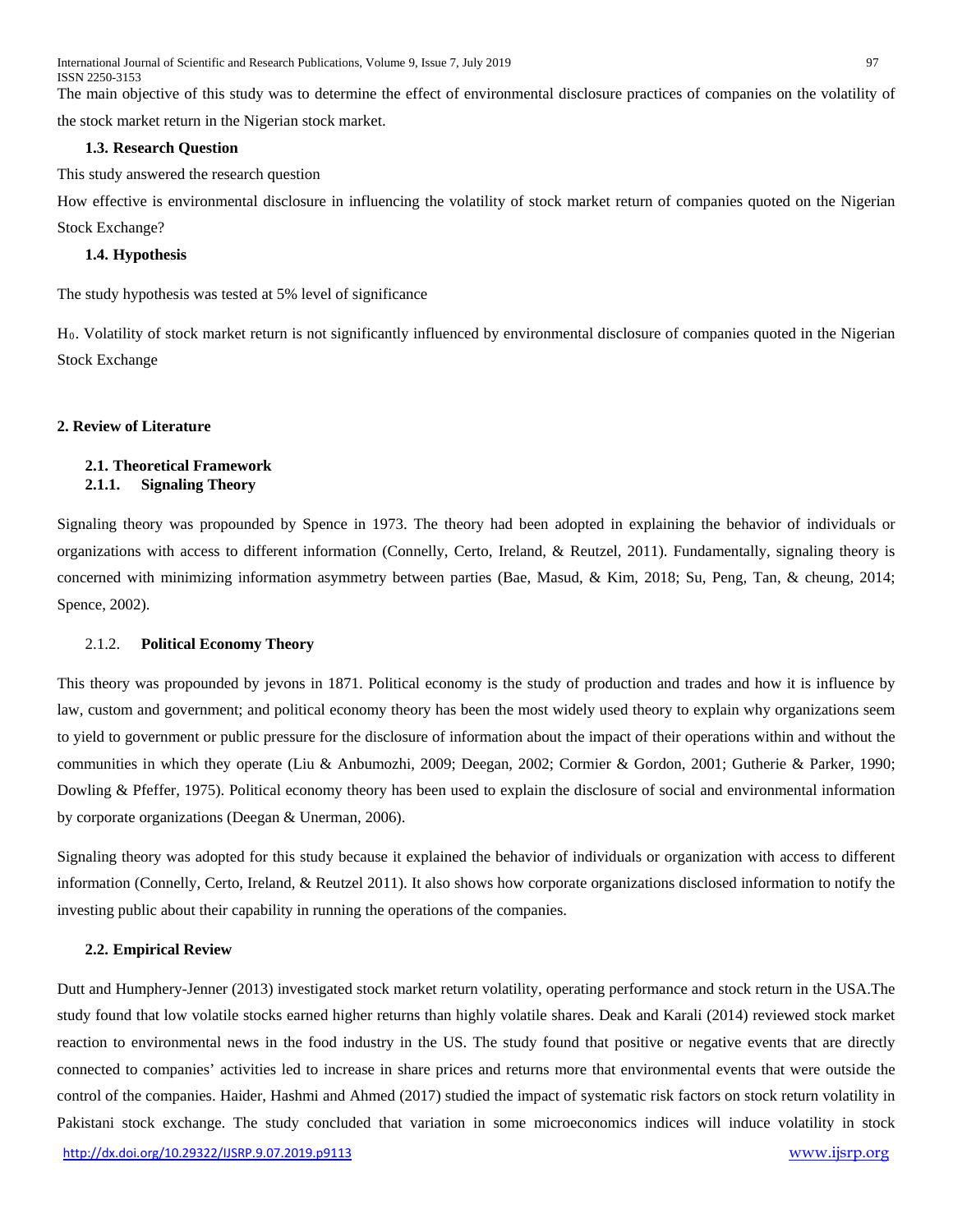International Journal of Scientific and Research Publications, Volume 9, Issue 7, July 2019 97 ISSN 2250-3153

The main objective of this study was to determine the effect of environmental disclosure practices of companies on the volatility of the stock market return in the Nigerian stock market.

#### **1.3. Research Question**

This study answered the research question

How effective is environmental disclosure in influencing the volatility of stock market return of companies quoted on the Nigerian Stock Exchange?

#### **1.4. Hypothesis**

The study hypothesis was tested at 5% level of significance

H0. Volatility of stock market return is not significantly influenced by environmental disclosure of companies quoted in the Nigerian Stock Exchange

#### **2. Review of Literature**

#### **2.1. Theoretical Framework 2.1.1. Signaling Theory**

Signaling theory was propounded by Spence in 1973. The theory had been adopted in explaining the behavior of individuals or organizations with access to different information (Connelly, Certo, Ireland, & Reutzel, 2011). Fundamentally, signaling theory is concerned with minimizing information asymmetry between parties (Bae, Masud, & Kim, 2018; Su, Peng, Tan, & cheung, 2014; Spence, 2002).

#### 2.1.2. **Political Economy Theory**

This theory was propounded by jevons in 1871. Political economy is the study of production and trades and how it is influence by law, custom and government; and political economy theory has been the most widely used theory to explain why organizations seem to yield to government or public pressure for the disclosure of information about the impact of their operations within and without the communities in which they operate (Liu & Anbumozhi, 2009; Deegan, 2002; Cormier & Gordon, 2001; Gutherie & Parker, 1990; Dowling & Pfeffer, 1975). Political economy theory has been used to explain the disclosure of social and environmental information by corporate organizations (Deegan & Unerman, 2006).

Signaling theory was adopted for this study because it explained the behavior of individuals or organization with access to different information (Connelly, Certo, Ireland, & Reutzel 2011). It also shows how corporate organizations disclosed information to notify the investing public about their capability in running the operations of the companies.

#### **2.2. Empirical Review**

Dutt and Humphery-Jenner (2013) investigated stock market return volatility, operating performance and stock return in the USA.The study found that low volatile stocks earned higher returns than highly volatile shares. Deak and Karali (2014) reviewed stock market reaction to environmental news in the food industry in the US. The study found that positive or negative events that are directly connected to companies' activities led to increase in share prices and returns more that environmental events that were outside the control of the companies. Haider, Hashmi and Ahmed (2017) studied the impact of systematic risk factors on stock return volatility in Pakistani stock exchange. The study concluded that variation in some microeconomics indices will induce volatility in stock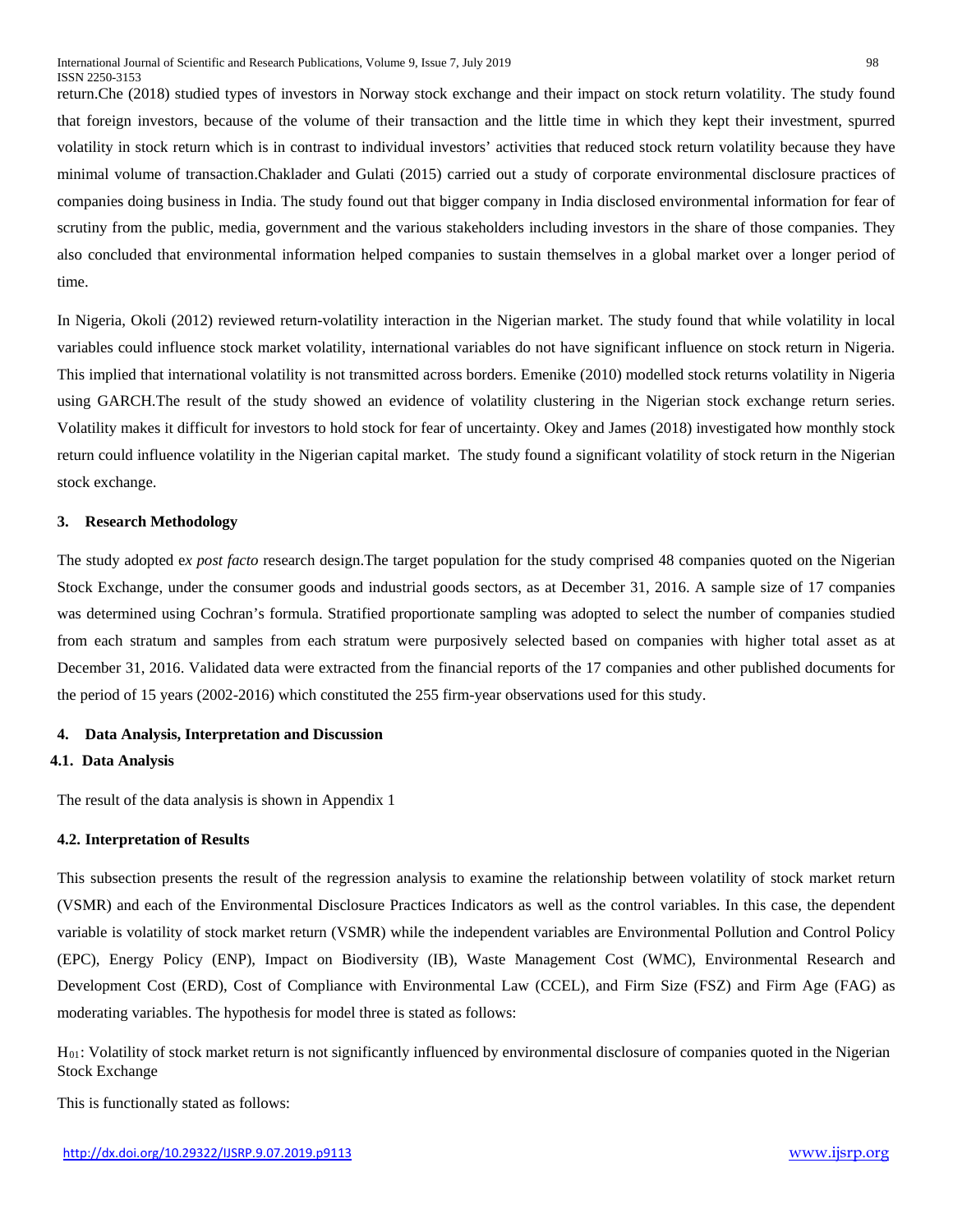return.Che (2018) studied types of investors in Norway stock exchange and their impact on stock return volatility. The study found that foreign investors, because of the volume of their transaction and the little time in which they kept their investment, spurred volatility in stock return which is in contrast to individual investors' activities that reduced stock return volatility because they have minimal volume of transaction.Chaklader and Gulati (2015) carried out a study of corporate environmental disclosure practices of companies doing business in India. The study found out that bigger company in India disclosed environmental information for fear of scrutiny from the public, media, government and the various stakeholders including investors in the share of those companies. They also concluded that environmental information helped companies to sustain themselves in a global market over a longer period of time.

In Nigeria, Okoli (2012) reviewed return-volatility interaction in the Nigerian market. The study found that while volatility in local variables could influence stock market volatility, international variables do not have significant influence on stock return in Nigeria. This implied that international volatility is not transmitted across borders. Emenike (2010) modelled stock returns volatility in Nigeria using GARCH.The result of the study showed an evidence of volatility clustering in the Nigerian stock exchange return series. Volatility makes it difficult for investors to hold stock for fear of uncertainty. Okey and James (2018) investigated how monthly stock return could influence volatility in the Nigerian capital market. The study found a significant volatility of stock return in the Nigerian stock exchange.

#### **3. Research Methodology**

The study adopted e*x post facto* research design.The target population for the study comprised 48 companies quoted on the Nigerian Stock Exchange, under the consumer goods and industrial goods sectors, as at December 31, 2016. A sample size of 17 companies was determined using Cochran's formula. Stratified proportionate sampling was adopted to select the number of companies studied from each stratum and samples from each stratum were purposively selected based on companies with higher total asset as at December 31, 2016. Validated data were extracted from the financial reports of the 17 companies and other published documents for the period of 15 years (2002-2016) which constituted the 255 firm-year observations used for this study.

#### **4. Data Analysis, Interpretation and Discussion**

#### **4.1. Data Analysis**

The result of the data analysis is shown in Appendix 1

#### **4.2. Interpretation of Results**

This subsection presents the result of the regression analysis to examine the relationship between volatility of stock market return (VSMR) and each of the Environmental Disclosure Practices Indicators as well as the control variables. In this case, the dependent variable is volatility of stock market return (VSMR) while the independent variables are Environmental Pollution and Control Policy (EPC), Energy Policy (ENP), Impact on Biodiversity (IB), Waste Management Cost (WMC), Environmental Research and Development Cost (ERD), Cost of Compliance with Environmental Law (CCEL), and Firm Size (FSZ) and Firm Age (FAG) as moderating variables. The hypothesis for model three is stated as follows:

H01: Volatility of stock market return is not significantly influenced by environmental disclosure of companies quoted in the Nigerian Stock Exchange

This is functionally stated as follows: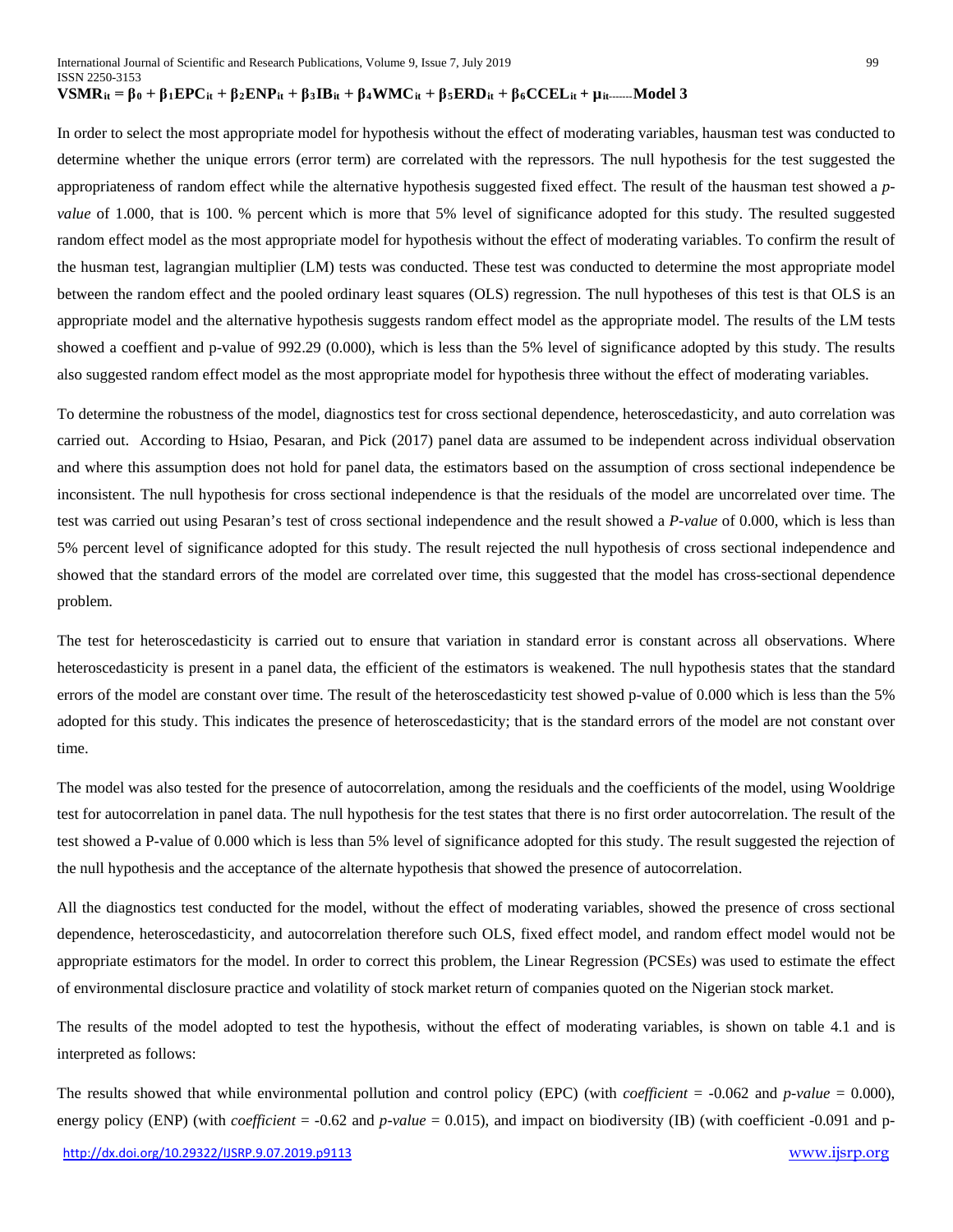In order to select the most appropriate model for hypothesis without the effect of moderating variables, hausman test was conducted to determine whether the unique errors (error term) are correlated with the repressors. The null hypothesis for the test suggested the appropriateness of random effect while the alternative hypothesis suggested fixed effect. The result of the hausman test showed a *pvalue* of 1.000, that is 100. % percent which is more that 5% level of significance adopted for this study. The resulted suggested random effect model as the most appropriate model for hypothesis without the effect of moderating variables. To confirm the result of the husman test, lagrangian multiplier (LM) tests was conducted. These test was conducted to determine the most appropriate model between the random effect and the pooled ordinary least squares (OLS) regression. The null hypotheses of this test is that OLS is an appropriate model and the alternative hypothesis suggests random effect model as the appropriate model. The results of the LM tests showed a coeffient and p-value of 992.29 (0.000), which is less than the 5% level of significance adopted by this study. The results also suggested random effect model as the most appropriate model for hypothesis three without the effect of moderating variables.

To determine the robustness of the model, diagnostics test for cross sectional dependence, heteroscedasticity, and auto correlation was carried out. According to Hsiao, Pesaran, and Pick (2017) panel data are assumed to be independent across individual observation and where this assumption does not hold for panel data, the estimators based on the assumption of cross sectional independence be inconsistent. The null hypothesis for cross sectional independence is that the residuals of the model are uncorrelated over time. The test was carried out using Pesaran's test of cross sectional independence and the result showed a *P-value* of 0.000, which is less than 5% percent level of significance adopted for this study. The result rejected the null hypothesis of cross sectional independence and showed that the standard errors of the model are correlated over time, this suggested that the model has cross-sectional dependence problem.

The test for heteroscedasticity is carried out to ensure that variation in standard error is constant across all observations. Where heteroscedasticity is present in a panel data, the efficient of the estimators is weakened. The null hypothesis states that the standard errors of the model are constant over time. The result of the heteroscedasticity test showed p-value of 0.000 which is less than the 5% adopted for this study. This indicates the presence of heteroscedasticity; that is the standard errors of the model are not constant over time.

The model was also tested for the presence of autocorrelation, among the residuals and the coefficients of the model, using Wooldrige test for autocorrelation in panel data. The null hypothesis for the test states that there is no first order autocorrelation. The result of the test showed a P-value of 0.000 which is less than 5% level of significance adopted for this study. The result suggested the rejection of the null hypothesis and the acceptance of the alternate hypothesis that showed the presence of autocorrelation.

All the diagnostics test conducted for the model, without the effect of moderating variables, showed the presence of cross sectional dependence, heteroscedasticity, and autocorrelation therefore such OLS, fixed effect model, and random effect model would not be appropriate estimators for the model. In order to correct this problem, the Linear Regression (PCSEs) was used to estimate the effect of environmental disclosure practice and volatility of stock market return of companies quoted on the Nigerian stock market.

The results of the model adopted to test the hypothesis, without the effect of moderating variables, is shown on table 4.1 and is interpreted as follows:

The results showed that while environmental pollution and control policy (EPC) (with *coefficient* = -0.062 and *p-value* = 0.000), energy policy (ENP) (with *coefficient* = -0.62 and *p-value* = 0.015), and impact on biodiversity (IB) (with coefficient -0.091 and p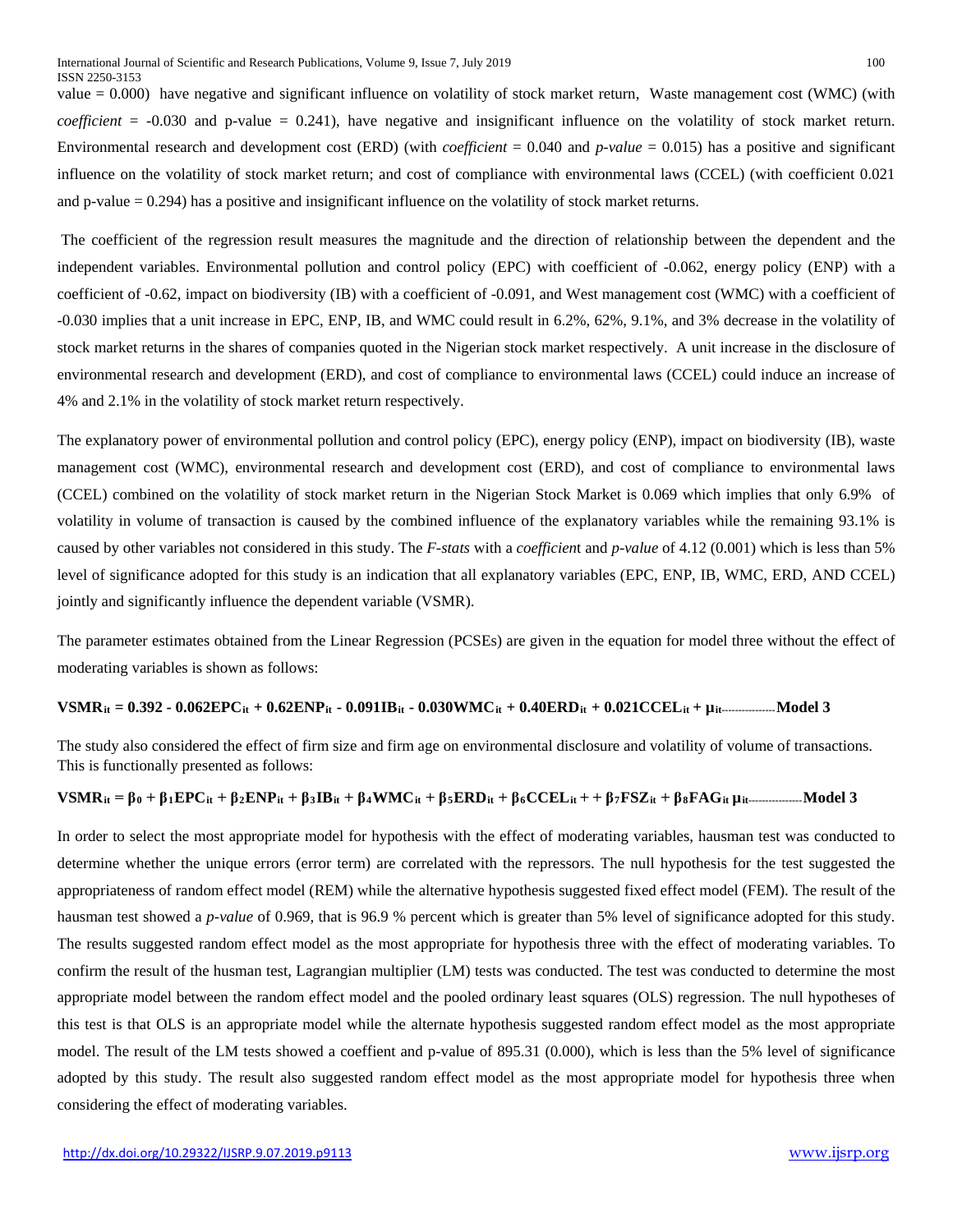value  $= 0.000$ ) have negative and significant influence on volatility of stock market return, Waste management cost (WMC) (with *coefficient* = -0.030 and p-value = 0.241), have negative and insignificant influence on the volatility of stock market return. Environmental research and development cost (ERD) (with *coefficient* = 0.040 and *p-value* = 0.015) has a positive and significant influence on the volatility of stock market return; and cost of compliance with environmental laws (CCEL) (with coefficient 0.021 and p-value  $= 0.294$ ) has a positive and insignificant influence on the volatility of stock market returns.

The coefficient of the regression result measures the magnitude and the direction of relationship between the dependent and the independent variables. Environmental pollution and control policy (EPC) with coefficient of -0.062, energy policy (ENP) with a coefficient of -0.62, impact on biodiversity (IB) with a coefficient of -0.091, and West management cost (WMC) with a coefficient of -0.030 implies that a unit increase in EPC, ENP, IB, and WMC could result in 6.2%, 62%, 9.1%, and 3% decrease in the volatility of stock market returns in the shares of companies quoted in the Nigerian stock market respectively. A unit increase in the disclosure of environmental research and development (ERD), and cost of compliance to environmental laws (CCEL) could induce an increase of 4% and 2.1% in the volatility of stock market return respectively.

The explanatory power of environmental pollution and control policy (EPC), energy policy (ENP), impact on biodiversity (IB), waste management cost (WMC), environmental research and development cost (ERD), and cost of compliance to environmental laws (CCEL) combined on the volatility of stock market return in the Nigerian Stock Market is 0.069 which implies that only 6.9% of volatility in volume of transaction is caused by the combined influence of the explanatory variables while the remaining 93.1% is caused by other variables not considered in this study. The *F-stats* with a *coefficien*t and *p-value* of 4.12 (0.001) which is less than 5% level of significance adopted for this study is an indication that all explanatory variables (EPC, ENP, IB, WMC, ERD, AND CCEL) jointly and significantly influence the dependent variable (VSMR).

The parameter estimates obtained from the Linear Regression (PCSEs) are given in the equation for model three without the effect of moderating variables is shown as follows:

#### **VSMRit = 0.392 - 0.062EPCit + 0.62ENPit - 0.091IBit - 0.030WMCit + 0.40ERDit + 0.021CCELit + µit----------------Model 3**

The study also considered the effect of firm size and firm age on environmental disclosure and volatility of volume of transactions. This is functionally presented as follows:

#### $\mathbf{VSMR}_{it} = \beta_0 + \beta_1 \mathbf{EPC}_{it} + \beta_2 \mathbf{ENP}_{it} + \beta_3 \mathbf{IB}_{it} + \beta_4 \mathbf{WMC}_{it} + \beta_5 \mathbf{ERD}_{it} + \beta_6 \mathbf{CCEL}_{it} + \beta_7 \mathbf{FSZ}_{it} + \beta_8 \mathbf{FAG}_{it} \mu_{it} \dots \dots \dots \dots \mathbf{Model} 3$

In order to select the most appropriate model for hypothesis with the effect of moderating variables, hausman test was conducted to determine whether the unique errors (error term) are correlated with the repressors. The null hypothesis for the test suggested the appropriateness of random effect model (REM) while the alternative hypothesis suggested fixed effect model (FEM). The result of the hausman test showed a *p-value* of 0.969, that is 96.9 % percent which is greater than 5% level of significance adopted for this study. The results suggested random effect model as the most appropriate for hypothesis three with the effect of moderating variables. To confirm the result of the husman test, Lagrangian multiplier (LM) tests was conducted. The test was conducted to determine the most appropriate model between the random effect model and the pooled ordinary least squares (OLS) regression. The null hypotheses of this test is that OLS is an appropriate model while the alternate hypothesis suggested random effect model as the most appropriate model. The result of the LM tests showed a coeffient and p-value of 895.31 (0.000), which is less than the 5% level of significance adopted by this study. The result also suggested random effect model as the most appropriate model for hypothesis three when considering the effect of moderating variables.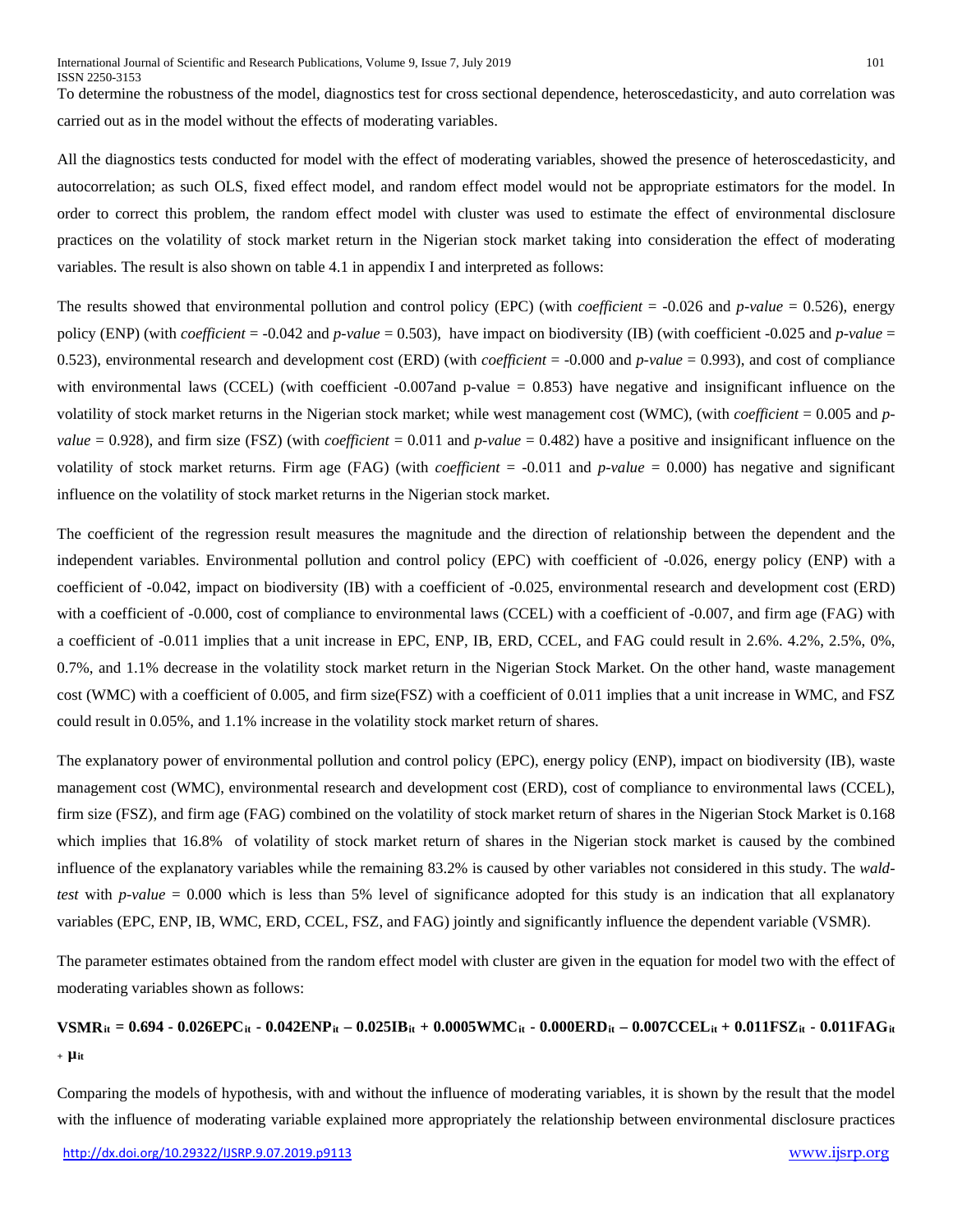To determine the robustness of the model, diagnostics test for cross sectional dependence, heteroscedasticity, and auto correlation was carried out as in the model without the effects of moderating variables.

All the diagnostics tests conducted for model with the effect of moderating variables, showed the presence of heteroscedasticity, and autocorrelation; as such OLS, fixed effect model, and random effect model would not be appropriate estimators for the model. In order to correct this problem, the random effect model with cluster was used to estimate the effect of environmental disclosure practices on the volatility of stock market return in the Nigerian stock market taking into consideration the effect of moderating variables. The result is also shown on table 4.1 in appendix I and interpreted as follows:

The results showed that environmental pollution and control policy (EPC) (with *coefficient* = -0.026 and *p-value* = 0.526), energy policy (ENP) (with *coefficient* = -0.042 and *p-value* = 0.503), have impact on biodiversity (IB) (with coefficient -0.025 and *p-value* = 0.523), environmental research and development cost (ERD) (with *coefficient* = -0.000 and *p-value* = 0.993), and cost of compliance with environmental laws (CCEL) (with coefficient  $-0.007$  and p-value = 0.853) have negative and insignificant influence on the volatility of stock market returns in the Nigerian stock market; while west management cost (WMC), (with *coefficient* = 0.005 and *pvalue* = 0.928), and firm size (FSZ) (with *coefficient* = 0.011 and  $p$ -value = 0.482) have a positive and insignificant influence on the volatility of stock market returns. Firm age (FAG) (with *coefficient* = -0.011 and *p-value* = 0.000) has negative and significant influence on the volatility of stock market returns in the Nigerian stock market.

The coefficient of the regression result measures the magnitude and the direction of relationship between the dependent and the independent variables. Environmental pollution and control policy (EPC) with coefficient of -0.026, energy policy (ENP) with a coefficient of -0.042, impact on biodiversity (IB) with a coefficient of -0.025, environmental research and development cost (ERD) with a coefficient of -0.000, cost of compliance to environmental laws (CCEL) with a coefficient of -0.007, and firm age (FAG) with a coefficient of -0.011 implies that a unit increase in EPC, ENP, IB, ERD, CCEL, and FAG could result in 2.6%. 4.2%, 2.5%, 0%, 0.7%, and 1.1% decrease in the volatility stock market return in the Nigerian Stock Market. On the other hand, waste management cost (WMC) with a coefficient of 0.005, and firm size(FSZ) with a coefficient of 0.011 implies that a unit increase in WMC, and FSZ could result in 0.05%, and 1.1% increase in the volatility stock market return of shares.

The explanatory power of environmental pollution and control policy (EPC), energy policy (ENP), impact on biodiversity (IB), waste management cost (WMC), environmental research and development cost (ERD), cost of compliance to environmental laws (CCEL), firm size (FSZ), and firm age (FAG) combined on the volatility of stock market return of shares in the Nigerian Stock Market is 0.168 which implies that 16.8% of volatility of stock market return of shares in the Nigerian stock market is caused by the combined influence of the explanatory variables while the remaining 83.2% is caused by other variables not considered in this study. The *waldtest* with *p-value* = 0.000 which is less than 5% level of significance adopted for this study is an indication that all explanatory variables (EPC, ENP, IB, WMC, ERD, CCEL, FSZ, and FAG) jointly and significantly influence the dependent variable (VSMR).

The parameter estimates obtained from the random effect model with cluster are given in the equation for model two with the effect of moderating variables shown as follows:

# **VSMRit = 0.694 - 0.026EPCit - 0.042ENPit – 0.025IBit + 0.0005WMCit - 0.000ERDit – 0.007CCELit + 0.011FSZit - 0.011FAGit <sup>+</sup> µit**

Comparing the models of hypothesis, with and without the influence of moderating variables, it is shown by the result that the model with the influence of moderating variable explained more appropriately the relationship between environmental disclosure practices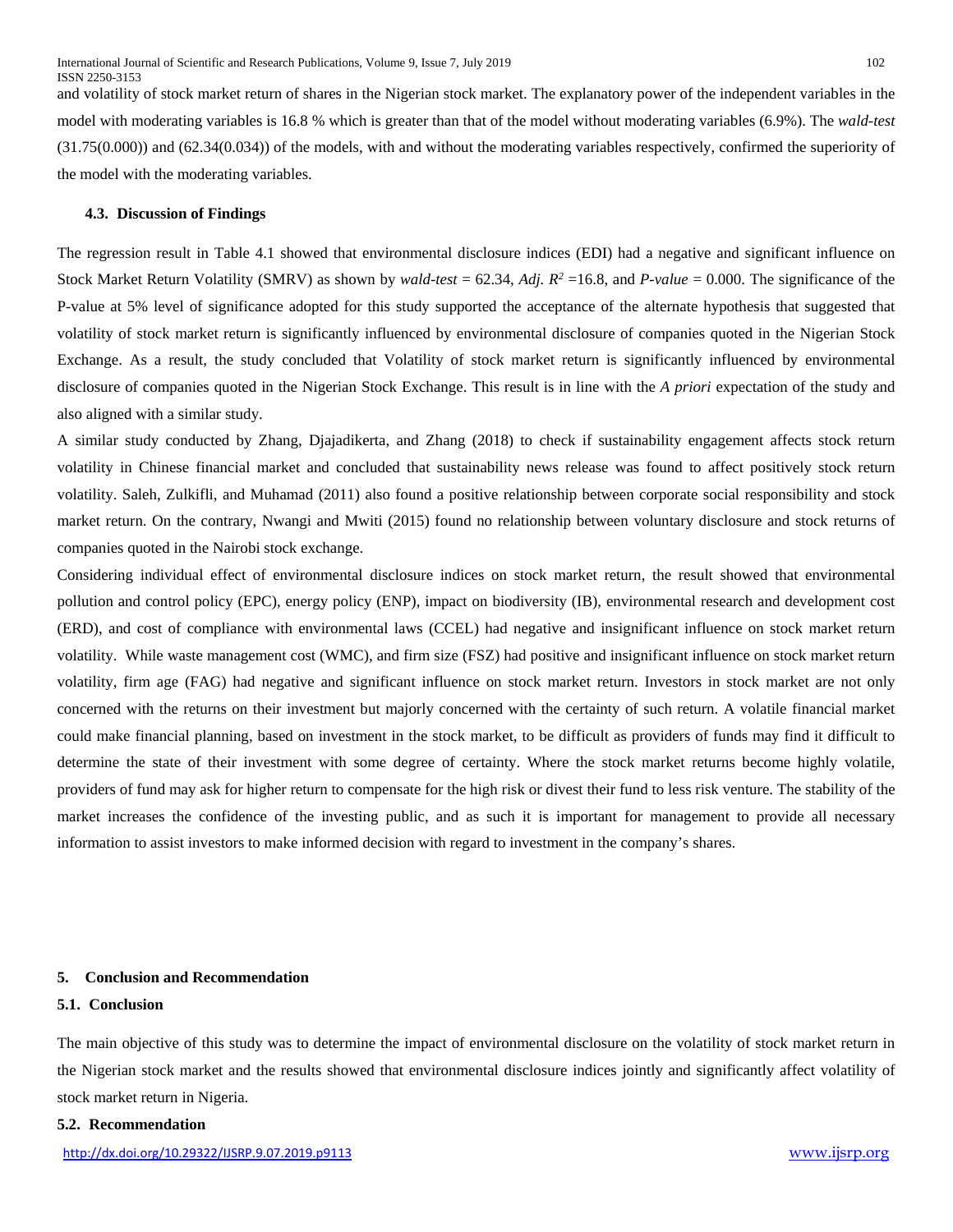and volatility of stock market return of shares in the Nigerian stock market. The explanatory power of the independent variables in the model with moderating variables is 16.8 % which is greater than that of the model without moderating variables (6.9%). The *wald-test* (31.75(0.000)) and (62.34(0.034)) of the models, with and without the moderating variables respectively, confirmed the superiority of the model with the moderating variables.

#### **4.3. Discussion of Findings**

The regression result in Table 4.1 showed that environmental disclosure indices (EDI) had a negative and significant influence on Stock Market Return Volatility (SMRV) as shown by *wald-test* = 62.34, *Adj.*  $R^2 = 16.8$ , and *P-value* = 0.000. The significance of the P-value at 5% level of significance adopted for this study supported the acceptance of the alternate hypothesis that suggested that volatility of stock market return is significantly influenced by environmental disclosure of companies quoted in the Nigerian Stock Exchange. As a result, the study concluded that Volatility of stock market return is significantly influenced by environmental disclosure of companies quoted in the Nigerian Stock Exchange. This result is in line with the *A priori* expectation of the study and also aligned with a similar study.

A similar study conducted by Zhang, Djajadikerta, and Zhang (2018) to check if sustainability engagement affects stock return volatility in Chinese financial market and concluded that sustainability news release was found to affect positively stock return volatility. Saleh, Zulkifli, and Muhamad (2011) also found a positive relationship between corporate social responsibility and stock market return. On the contrary, Nwangi and Mwiti (2015) found no relationship between voluntary disclosure and stock returns of companies quoted in the Nairobi stock exchange.

Considering individual effect of environmental disclosure indices on stock market return, the result showed that environmental pollution and control policy (EPC), energy policy (ENP), impact on biodiversity (IB), environmental research and development cost (ERD), and cost of compliance with environmental laws (CCEL) had negative and insignificant influence on stock market return volatility. While waste management cost (WMC), and firm size (FSZ) had positive and insignificant influence on stock market return volatility, firm age (FAG) had negative and significant influence on stock market return. Investors in stock market are not only concerned with the returns on their investment but majorly concerned with the certainty of such return. A volatile financial market could make financial planning, based on investment in the stock market, to be difficult as providers of funds may find it difficult to determine the state of their investment with some degree of certainty. Where the stock market returns become highly volatile, providers of fund may ask for higher return to compensate for the high risk or divest their fund to less risk venture. The stability of the market increases the confidence of the investing public, and as such it is important for management to provide all necessary information to assist investors to make informed decision with regard to investment in the company's shares.

#### **5. Conclusion and Recommendation**

#### **5.1. Conclusion**

The main objective of this study was to determine the impact of environmental disclosure on the volatility of stock market return in the Nigerian stock market and the results showed that environmental disclosure indices jointly and significantly affect volatility of stock market return in Nigeria.

#### **5.2. Recommendation**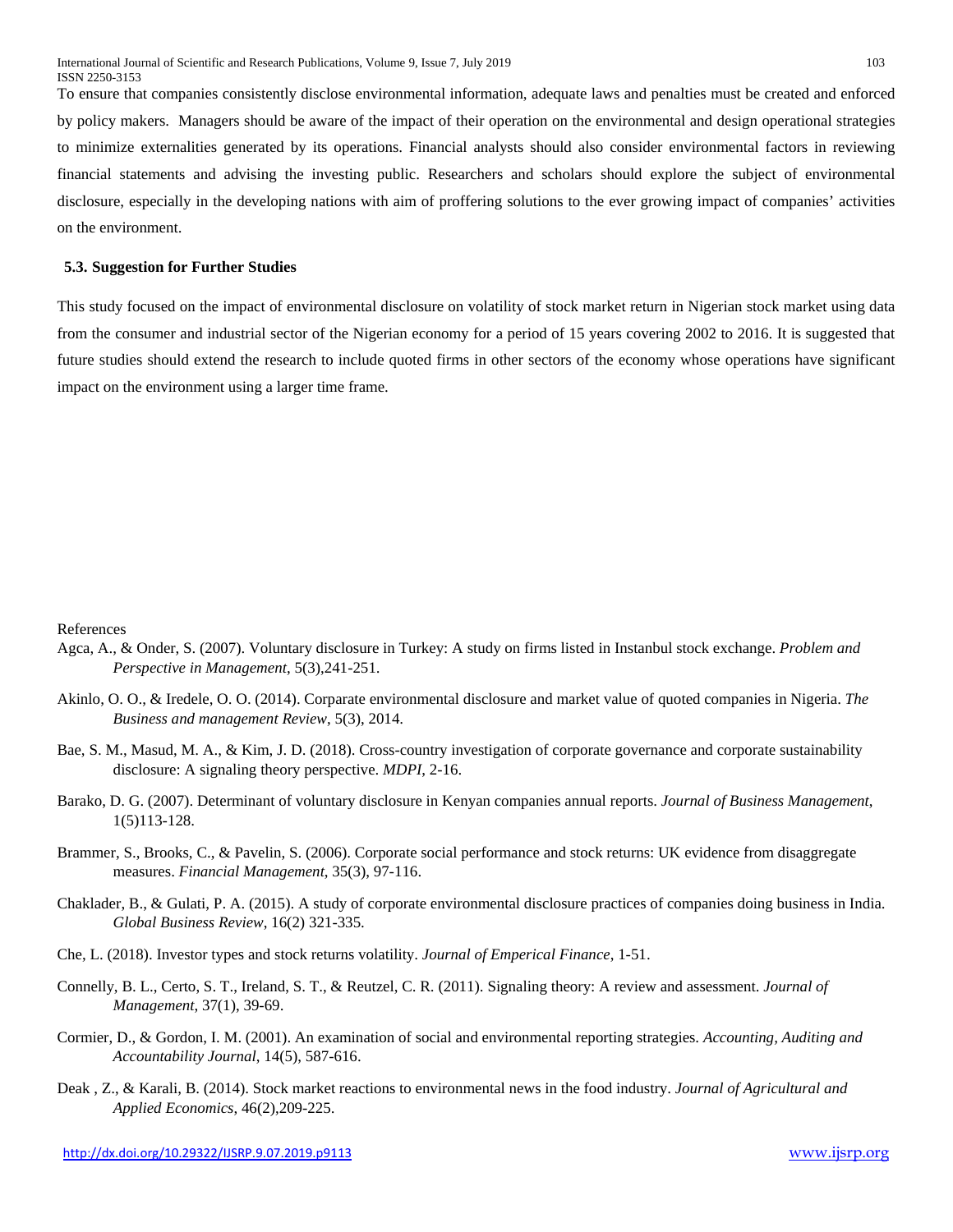To ensure that companies consistently disclose environmental information, adequate laws and penalties must be created and enforced by policy makers. Managers should be aware of the impact of their operation on the environmental and design operational strategies to minimize externalities generated by its operations. Financial analysts should also consider environmental factors in reviewing financial statements and advising the investing public. Researchers and scholars should explore the subject of environmental disclosure, especially in the developing nations with aim of proffering solutions to the ever growing impact of companies' activities on the environment.

#### **5.3. Suggestion for Further Studies**

This study focused on the impact of environmental disclosure on volatility of stock market return in Nigerian stock market using data from the consumer and industrial sector of the Nigerian economy for a period of 15 years covering 2002 to 2016. It is suggested that future studies should extend the research to include quoted firms in other sectors of the economy whose operations have significant impact on the environment using a larger time frame.

#### References

- Agca, A., & Onder, S. (2007). Voluntary disclosure in Turkey: A study on firms listed in Instanbul stock exchange. *Problem and Perspective in Management*, 5(3),241-251.
- Akinlo, O. O., & Iredele, O. O. (2014). Corparate environmental disclosure and market value of quoted companies in Nigeria. *The Business and management Review*, 5(3), 2014.
- Bae, S. M., Masud, M. A., & Kim, J. D. (2018). Cross-country investigation of corporate governance and corporate sustainability disclosure: A signaling theory perspective. *MDPI*, 2-16.
- Barako, D. G. (2007). Determinant of voluntary disclosure in Kenyan companies annual reports. *Journal of Business Management*, 1(5)113-128.
- Brammer, S., Brooks, C., & Pavelin, S. (2006). Corporate social performance and stock returns: UK evidence from disaggregate measures. *Financial Management*, 35(3), 97-116.
- Chaklader, B., & Gulati, P. A. (2015). A study of corporate environmental disclosure practices of companies doing business in India. *Global Business Review*, 16(2) 321-335.
- Che, L. (2018). Investor types and stock returns volatility. *Journal of Emperical Finance*, 1-51.
- Connelly, B. L., Certo, S. T., Ireland, S. T., & Reutzel, C. R. (2011). Signaling theory: A review and assessment. *Journal of Management*, 37(1), 39-69.
- Cormier, D., & Gordon, I. M. (2001). An examination of social and environmental reporting strategies. *Accounting, Auditing and Accountability Journal*, 14(5), 587-616.
- Deak , Z., & Karali, B. (2014). Stock market reactions to environmental news in the food industry. *Journal of Agricultural and Applied Economics*, 46(2),209-225.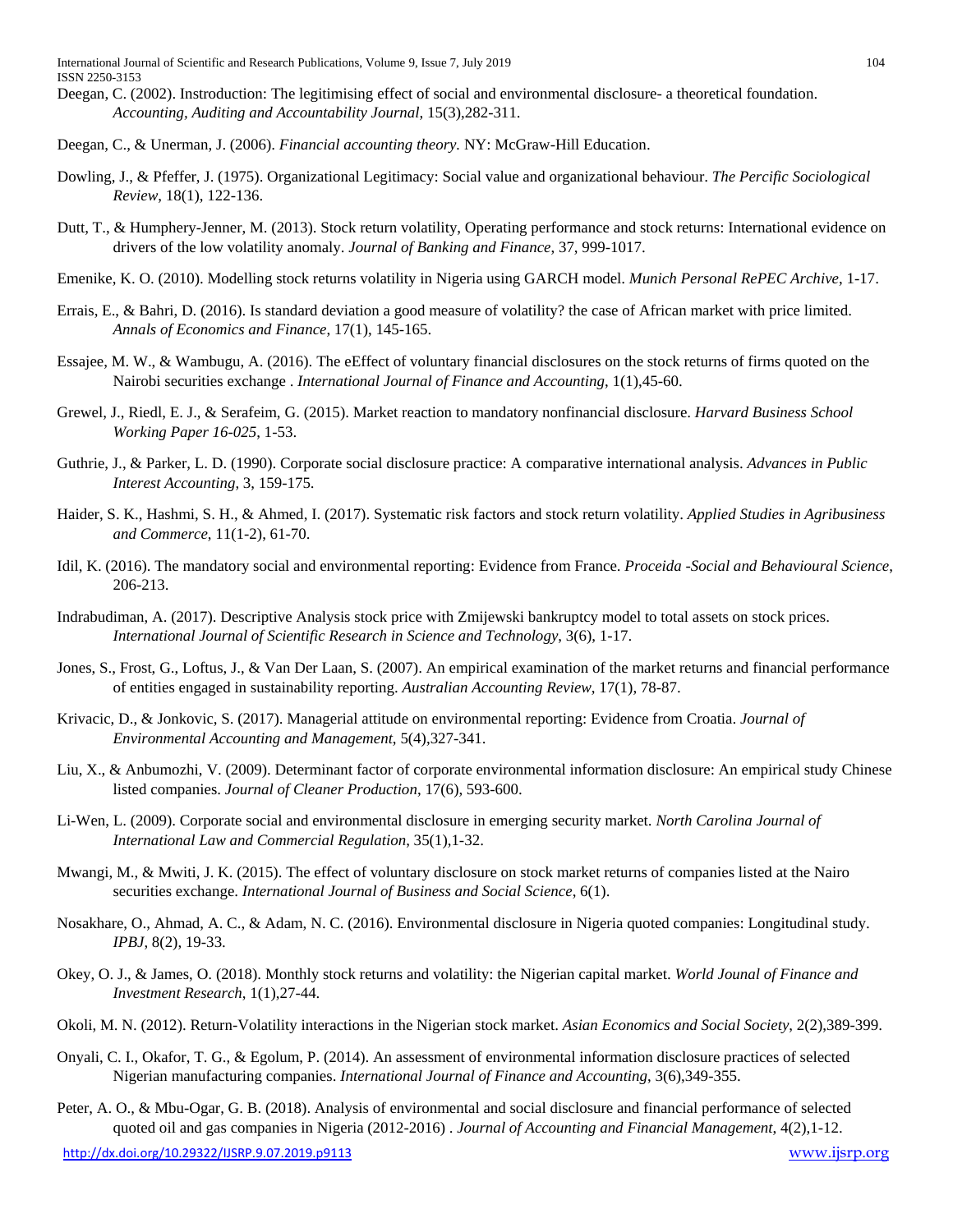- Deegan, C. (2002). Instroduction: The legitimising effect of social and environmental disclosure- a theoretical foundation. *Accounting, Auditing and Accountability Journal*, 15(3),282-311.
- Deegan, C., & Unerman, J. (2006). *Financial accounting theory.* NY: McGraw-Hill Education.
- Dowling, J., & Pfeffer, J. (1975). Organizational Legitimacy: Social value and organizational behaviour. *The Percific Sociological Review*, 18(1), 122-136.
- Dutt, T., & Humphery-Jenner, M. (2013). Stock return volatility, Operating performance and stock returns: International evidence on drivers of the low volatility anomaly. *Journal of Banking and Finance*, 37, 999-1017.
- Emenike, K. O. (2010). Modelling stock returns volatility in Nigeria using GARCH model. *Munich Personal RePEC Archive*, 1-17.
- Errais, E., & Bahri, D. (2016). Is standard deviation a good measure of volatility? the case of African market with price limited. *Annals of Economics and Finance*, 17(1), 145-165.
- Essajee, M. W., & Wambugu, A. (2016). The eEffect of voluntary financial disclosures on the stock returns of firms quoted on the Nairobi securities exchange . *International Journal of Finance and Accounting*, 1(1),45-60.
- Grewel, J., Riedl, E. J., & Serafeim, G. (2015). Market reaction to mandatory nonfinancial disclosure. *Harvard Business School Working Paper 16-025*, 1-53.
- Guthrie, J., & Parker, L. D. (1990). Corporate social disclosure practice: A comparative international analysis. *Advances in Public Interest Accounting*, 3, 159-175.
- Haider, S. K., Hashmi, S. H., & Ahmed, I. (2017). Systematic risk factors and stock return volatility. *Applied Studies in Agribusiness and Commerce*, 11(1-2), 61-70.
- Idil, K. (2016). The mandatory social and environmental reporting: Evidence from France. *Proceida -Social and Behavioural Science*, 206-213.
- Indrabudiman, A. (2017). Descriptive Analysis stock price with Zmijewski bankruptcy model to total assets on stock prices. *International Journal of Scientific Research in Science and Technology*, 3(6), 1-17.
- Jones, S., Frost, G., Loftus, J., & Van Der Laan, S. (2007). An empirical examination of the market returns and financial performance of entities engaged in sustainability reporting. *Australian Accounting Review*, 17(1), 78-87.
- Krivacic, D., & Jonkovic, S. (2017). Managerial attitude on environmental reporting: Evidence from Croatia. *Journal of Environmental Accounting and Management*, 5(4),327-341.
- Liu, X., & Anbumozhi, V. (2009). Determinant factor of corporate environmental information disclosure: An empirical study Chinese listed companies. *Journal of Cleaner Production*, 17(6), 593-600.
- Li-Wen, L. (2009). Corporate social and environmental disclosure in emerging security market. *North Carolina Journal of International Law and Commercial Regulation*, 35(1),1-32.
- Mwangi, M., & Mwiti, J. K. (2015). The effect of voluntary disclosure on stock market returns of companies listed at the Nairo securities exchange. *International Journal of Business and Social Science*, 6(1).
- Nosakhare, O., Ahmad, A. C., & Adam, N. C. (2016). Environmental disclosure in Nigeria quoted companies: Longitudinal study. *IPBJ*, 8(2), 19-33.
- Okey, O. J., & James, O. (2018). Monthly stock returns and volatility: the Nigerian capital market. *World Jounal of Finance and Investment Research*, 1(1),27-44.
- Okoli, M. N. (2012). Return-Volatility interactions in the Nigerian stock market. *Asian Economics and Social Society*, 2(2),389-399.
- Onyali, C. I., Okafor, T. G., & Egolum, P. (2014). An assessment of environmental information disclosure practices of selected Nigerian manufacturing companies. *International Journal of Finance and Accounting*, 3(6),349-355.
- Peter, A. O., & Mbu-Ogar, G. B. (2018). Analysis of environmental and social disclosure and financial performance of selected quoted oil and gas companies in Nigeria (2012-2016) . *Journal of Accounting and Financial Management*, 4(2),1-12.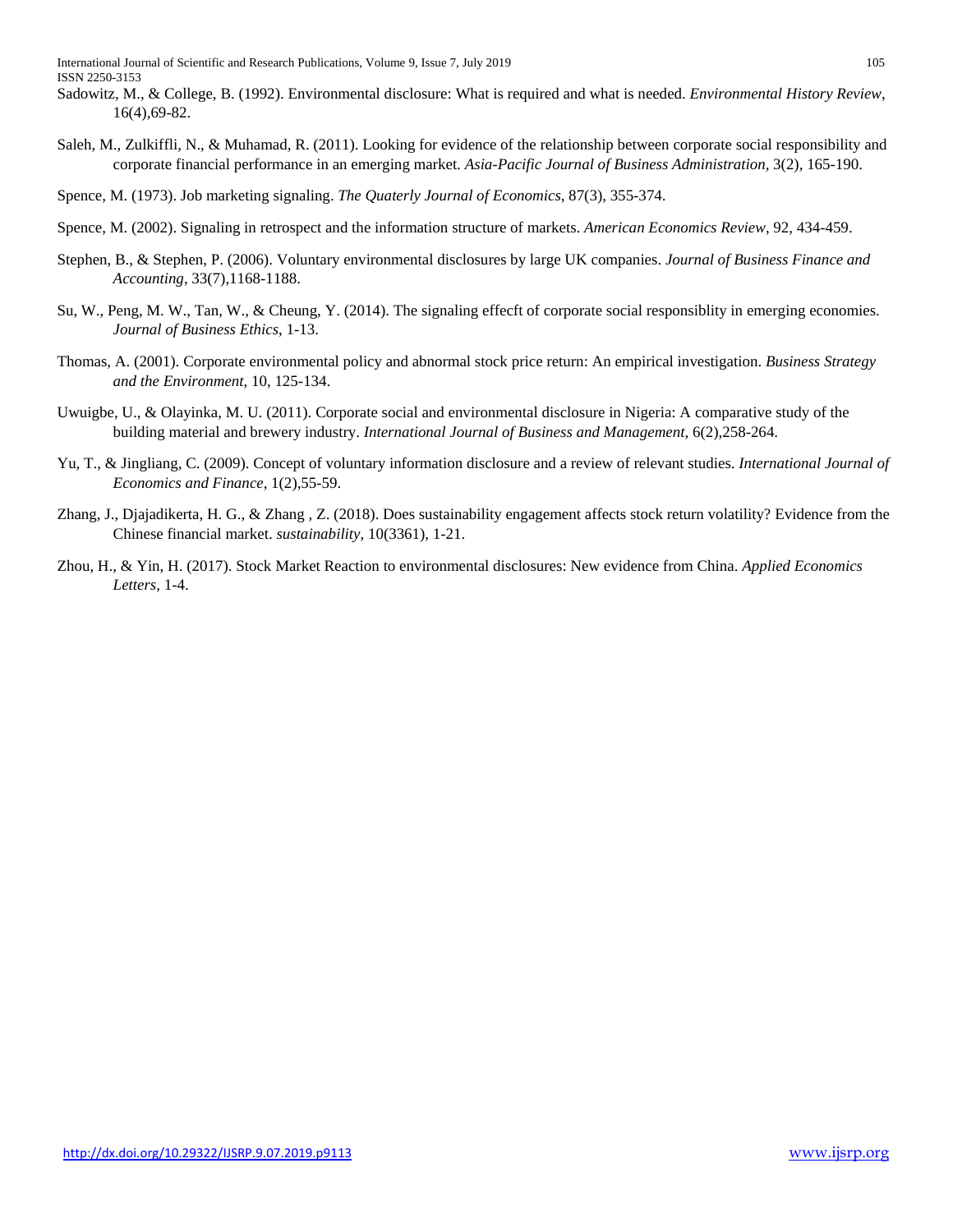International Journal of Scientific and Research Publications, Volume 9, Issue 7, July 2019 105 ISSN 2250-3153

- Sadowitz, M., & College, B. (1992). Environmental disclosure: What is required and what is needed. *Environmental History Review*, 16(4),69-82.
- Saleh, M., Zulkiffli, N., & Muhamad, R. (2011). Looking for evidence of the relationship between corporate social responsibility and corporate financial performance in an emerging market. *Asia-Pacific Journal of Business Administration*, 3(2), 165-190.

Spence, M. (1973). Job marketing signaling. *The Quaterly Journal of Economics*, 87(3), 355-374.

- Spence, M. (2002). Signaling in retrospect and the information structure of markets. *American Economics Review*, 92, 434-459.
- Stephen, B., & Stephen, P. (2006). Voluntary environmental disclosures by large UK companies. *Journal of Business Finance and Accounting*, 33(7),1168-1188.
- Su, W., Peng, M. W., Tan, W., & Cheung, Y. (2014). The signaling effecft of corporate social responsiblity in emerging economies. *Journal of Business Ethics*, 1-13.
- Thomas, A. (2001). Corporate environmental policy and abnormal stock price return: An empirical investigation. *Business Strategy and the Environment*, 10, 125-134.
- Uwuigbe, U., & Olayinka, M. U. (2011). Corporate social and environmental disclosure in Nigeria: A comparative study of the building material and brewery industry. *International Journal of Business and Management*, 6(2),258-264.
- Yu, T., & Jingliang, C. (2009). Concept of voluntary information disclosure and a review of relevant studies. *International Journal of Economics and Finance*, 1(2),55-59.
- Zhang, J., Djajadikerta, H. G., & Zhang , Z. (2018). Does sustainability engagement affects stock return volatility? Evidence from the Chinese financial market. *sustainability*, 10(3361), 1-21.
- Zhou, H., & Yin, H. (2017). Stock Market Reaction to environmental disclosures: New evidence from China. *Applied Economics Letters*, 1-4.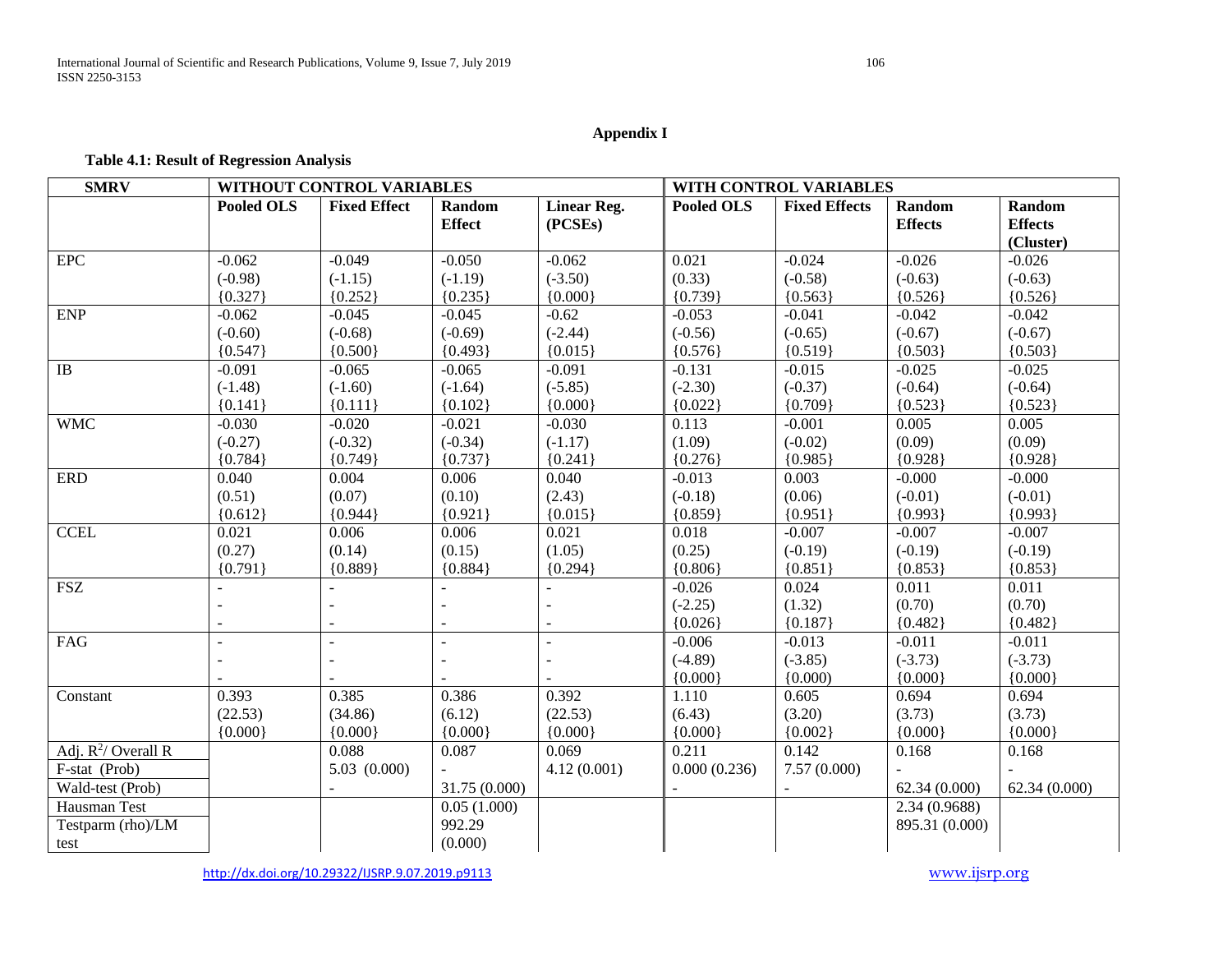# **Appendix I**

## **Table 4.1: Result of Regression Analysis**

| <b>SMRV</b>            | WITHOUT CONTROL VARIABLES |                          |                         |                               | WITH CONTROL VARIABLES |                      |                                 |                                       |
|------------------------|---------------------------|--------------------------|-------------------------|-------------------------------|------------------------|----------------------|---------------------------------|---------------------------------------|
|                        | <b>Pooled OLS</b>         | <b>Fixed Effect</b>      | Random<br><b>Effect</b> | <b>Linear Reg.</b><br>(PCSEs) | <b>Pooled OLS</b>      | <b>Fixed Effects</b> | <b>Random</b><br><b>Effects</b> | Random<br><b>Effects</b><br>(Cluster) |
| <b>EPC</b>             | $-0.062$                  | $-0.049$                 | $-0.050$                | $-0.062$                      | 0.021                  | $-0.024$             | $-0.026$                        | $-0.026$                              |
|                        | $(-0.98)$                 | $(-1.15)$                | $(-1.19)$               | $(-3.50)$                     | (0.33)                 | $(-0.58)$            | $(-0.63)$                       | $(-0.63)$                             |
|                        | ${0.327}$                 | ${0.252}$                | ${0.235}$               | ${0.000}$                     | ${0.739}$              | ${0.563}$            | ${0.526}$                       | ${0.526}$                             |
| <b>ENP</b>             | $-0.062$                  | $-0.045$                 | $-0.045$                | $-0.62$                       | $-0.053$               | $-0.041$             | $-0.042$                        | $-0.042$                              |
|                        | $(-0.60)$                 | $(-0.68)$                | $(-0.69)$               | $(-2.44)$                     | $(-0.56)$              | $(-0.65)$            | $(-0.67)$                       | $(-0.67)$                             |
|                        | ${0.547}$                 | ${0.500}$                | ${0.493}$               | ${0.015}$                     | ${0.576}$              | ${0.519}$            | ${0.503}$                       | ${0.503}$                             |
| $\overline{IB}$        | $-0.091$                  | $-0.065$                 | $-0.065$                | $-0.091$                      | $-0.131$               | $-0.015$             | $-0.025$                        | $-0.025$                              |
|                        | $(-1.48)$                 | $(-1.60)$                | $(-1.64)$               | $(-5.85)$                     | $(-2.30)$              | $(-0.37)$            | $(-0.64)$                       | $(-0.64)$                             |
|                        | ${0.141}$                 | ${0.111}$                | ${0.102}$               | ${0.000}$                     | ${0.022}$              | ${0.709}$            | ${0.523}$                       | ${0.523}$                             |
| <b>WMC</b>             | $-0.030$                  | $-0.020$                 | $-0.021$                | $-0.030$                      | 0.113                  | $-0.001$             | 0.005                           | 0.005                                 |
|                        | $(-0.27)$                 | $(-0.32)$                | $(-0.34)$               | $(-1.17)$                     | (1.09)                 | $(-0.02)$            | (0.09)                          | (0.09)                                |
|                        | ${0.784}$                 | ${0.749}$                | ${0.737}$               | ${0.241}$                     | ${0.276}$              | ${0.985}$            | ${0.928}$                       | ${0.928}$                             |
| <b>ERD</b>             | 0.040                     | 0.004                    | 0.006                   | 0.040                         | $-0.013$               | 0.003                | $-0.000$                        | $-0.000$                              |
|                        | (0.51)                    | (0.07)                   | (0.10)                  | (2.43)                        | $(-0.18)$              | (0.06)               | $(-0.01)$                       | $(-0.01)$                             |
|                        | ${0.612}$                 | ${0.944}$                | ${0.921}$               | ${0.015}$                     | ${0.859}$              | ${0.951}$            | ${0.993}$                       | ${0.993}$                             |
| <b>CCEL</b>            | 0.021                     | 0.006                    | 0.006                   | 0.021                         | 0.018                  | $-0.007$             | $-0.007$                        | $-0.007$                              |
|                        | (0.27)                    | (0.14)                   | (0.15)                  | (1.05)                        | (0.25)                 | $(-0.19)$            | $(-0.19)$                       | $(-0.19)$                             |
|                        | ${0.791}$                 | ${0.889}$                | ${0.884}$               | ${0.294}$                     | ${0.806}$              | ${0.851}$            | ${0.853}$                       | ${0.853}$                             |
| <b>FSZ</b>             |                           |                          |                         |                               | $-0.026$               | 0.024                | 0.011                           | 0.011                                 |
|                        |                           |                          |                         |                               | $(-2.25)$              | (1.32)               | (0.70)                          | (0.70)                                |
|                        |                           |                          |                         |                               | ${0.026}$              | ${0.187}$            | ${0.482}$                       | ${0.482}$                             |
| FAG                    |                           | $\overline{\phantom{a}}$ |                         |                               | $-0.006$               | $-0.013$             | $-0.011$                        | $-0.011$                              |
|                        |                           | $\sim$                   |                         |                               | $(-4.89)$              | $(-3.85)$            | $(-3.73)$                       | $(-3.73)$                             |
|                        |                           |                          |                         |                               | ${0.000}$              | (0.000)              | ${0.000}$                       | ${0.000}$                             |
| Constant               | 0.393                     | 0.385                    | 0.386                   | 0.392                         | 1.110                  | 0.605                | 0.694                           | 0.694                                 |
|                        | (22.53)                   | (34.86)                  | (6.12)                  | (22.53)                       | (6.43)                 | (3.20)               | (3.73)                          | (3.73)                                |
|                        | ${0.000}$                 | ${0.000}$                | ${0.000}$               | ${0.000}$                     | ${0.000}$              | ${0.002}$            | ${0.000}$                       | ${0.000}$                             |
| Adj. $R^2$ / Overall R |                           | 0.088                    | 0.087                   | 0.069                         | 0.211                  | 0.142                | 0.168                           | 0.168                                 |
| F-stat (Prob)          |                           | 5.03(0.000)              |                         | 4.12(0.001)                   | 0.000(0.236)           | 7.57(0.000)          |                                 |                                       |
| Wald-test (Prob)       |                           |                          | 31.75 (0.000)           |                               |                        |                      | 62.34(0.000)                    | 62.34(0.000)                          |
| Hausman Test           |                           |                          | 0.05(1.000)             |                               |                        |                      | 2.34 (0.9688)                   |                                       |
| Testparm (rho)/LM      |                           |                          | 992.29                  |                               |                        |                      | 895.31 (0.000)                  |                                       |
| test                   |                           |                          | (0.000)                 |                               |                        |                      |                                 |                                       |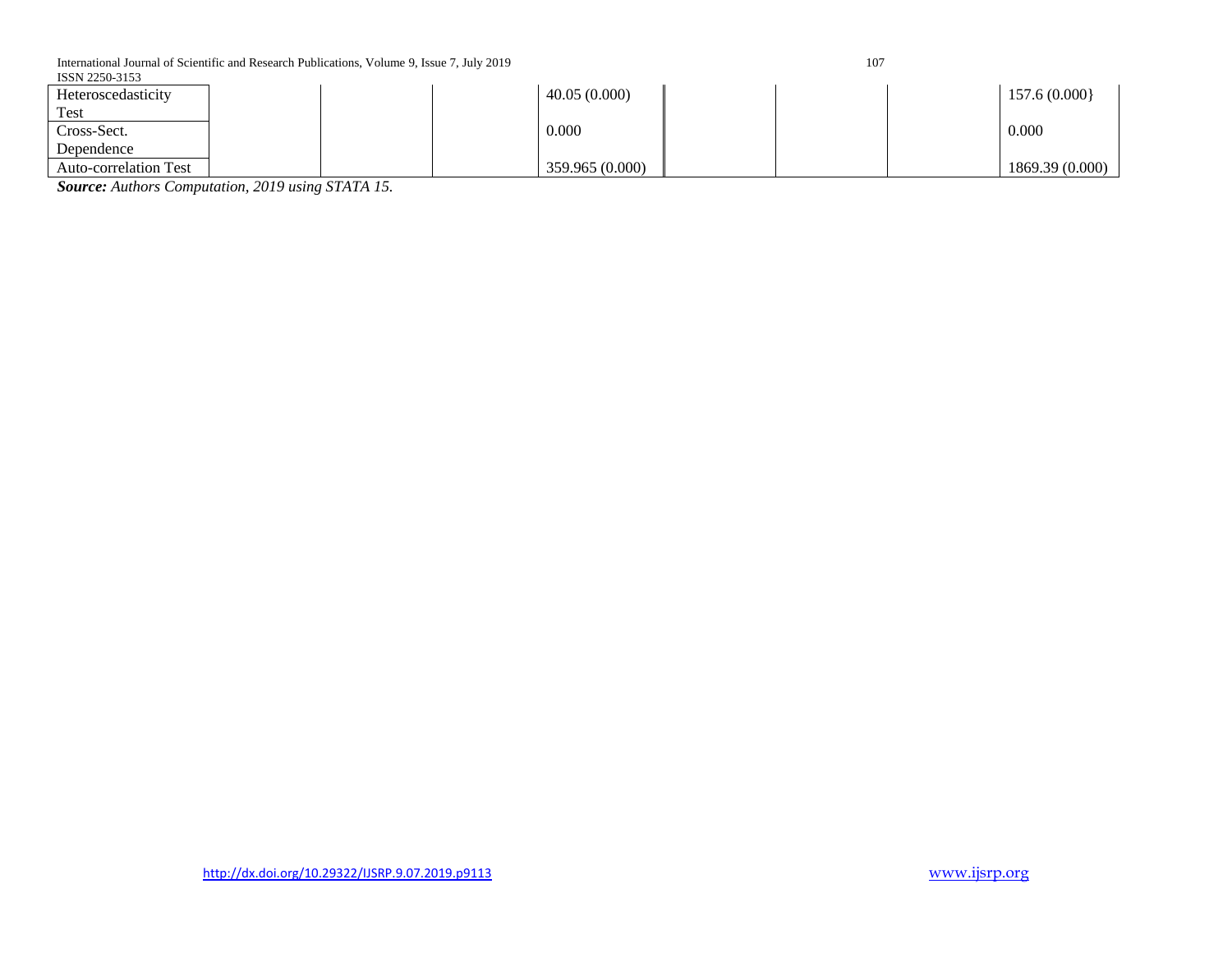International Journal of Scientific and Research Publications, Volume 9, Issue 7, July 2019 107

| 전 사 |
|-----|
|     |

| ISSN 2250-3153               |  |                 |  |                 |
|------------------------------|--|-----------------|--|-----------------|
| Heteroscedasticity           |  | 40.05(0.000)    |  | 157.6(0.000)    |
| Test                         |  |                 |  |                 |
| Cross-Sect.                  |  | 0.000           |  | 0.000           |
| Dependence                   |  |                 |  |                 |
| <b>Auto-correlation Test</b> |  | 359.965 (0.000) |  | 1869.39 (0.000) |

*Source: Authors Computation, 2019 using STATA 15.*